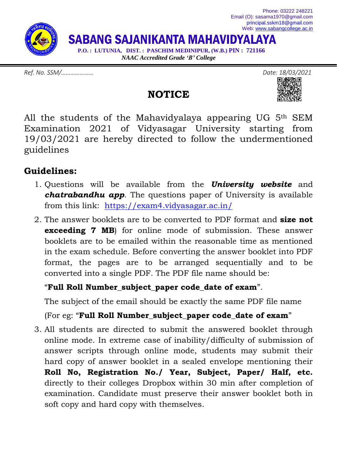

## *Ref. No. SSM/………………… Date: 18/03/2021*

## All the students of the Mahavidyalaya appearing UG 5th SEM Examination 2021 of Vidyasagar University starting from 19/03/2021 are hereby directed to follow the undermentioned guidelines

**NOTICE**

## **Guidelines:**

- 1. Questions will be available from the *University website* and *chatrabandhu app*. The questions paper of University is available from this link: <https://exam4.vidyasagar.ac.in/>
- 2. The answer booklets are to be converted to PDF format and **size not exceeding 7 MB**) for online mode of submission. These answer booklets are to be emailed within the reasonable time as mentioned in the exam schedule. Before converting the answer booklet into PDF format, the pages are to be arranged sequentially and to be converted into a single PDF. The PDF file name should be:

## "**Full Roll Number\_subject\_paper code\_date of exam**".

The subject of the email should be exactly the same PDF file name

(For eg: "**Full Roll Number\_subject\_paper code\_date of exam**"

3. All students are directed to submit the answered booklet through online mode. In extreme case of inability/difficulty of submission of answer scripts through online mode, students may submit their hard copy of answer booklet in a sealed envelope mentioning their **Roll No, Registration No./ Year, Subject, Paper/ Half, etc.** directly to their colleges Dropbox within 30 min after completion of examination. Candidate must preserve their answer booklet both in soft copy and hard copy with themselves.